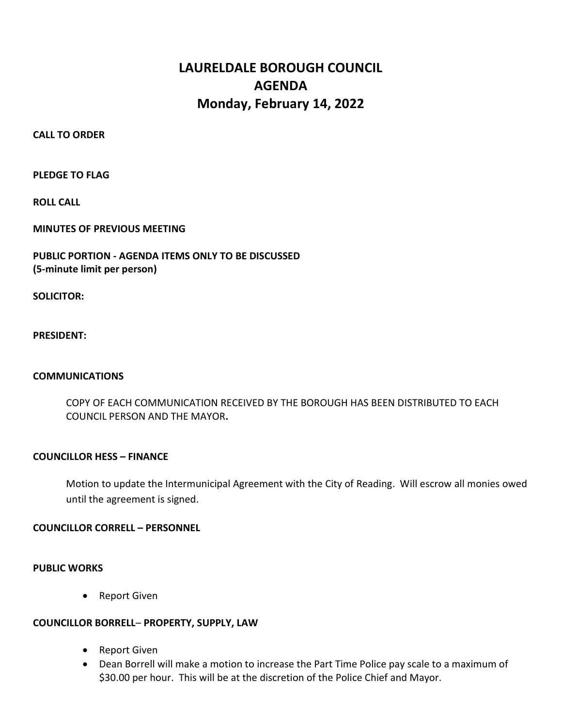# LAURELDALE BOROUGH COUNCIL AGENDA Monday, February 14, 2022

CALL TO ORDER

PLEDGE TO FLAG

ROLL CALL

MINUTES OF PREVIOUS MEETING

# PUBLIC PORTION - AGENDA ITEMS ONLY TO BE DISCUSSED (5-minute limit per person)

SOLICITOR:

PRESIDENT:

## COMMUNICATIONS

 COPY OF EACH COMMUNICATION RECEIVED BY THE BOROUGH HAS BEEN DISTRIBUTED TO EACH COUNCIL PERSON AND THE MAYOR.

## COUNCILLOR HESS – FINANCE

Motion to update the Intermunicipal Agreement with the City of Reading. Will escrow all monies owed until the agreement is signed.

# COUNCILLOR CORRELL – PERSONNEL

## PUBLIC WORKS

• Report Given

# COUNCILLOR BORRELL– PROPERTY, SUPPLY, LAW

- Report Given
- Dean Borrell will make a motion to increase the Part Time Police pay scale to a maximum of \$30.00 per hour. This will be at the discretion of the Police Chief and Mayor.